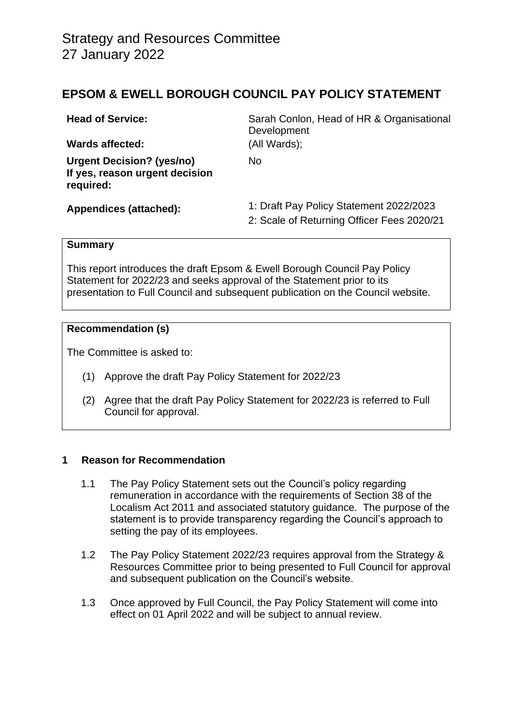## **EPSOM & EWELL BOROUGH COUNCIL PAY POLICY STATEMENT**

| <b>Head of Service:</b><br><b>Wards affected:</b>                               | Sarah Conlon, Head of HR & Organisational<br>Development<br>(All Wards);              |  |
|---------------------------------------------------------------------------------|---------------------------------------------------------------------------------------|--|
| <b>Urgent Decision? (yes/no)</b><br>If yes, reason urgent decision<br>required: | No                                                                                    |  |
| <b>Appendices (attached):</b>                                                   | 1: Draft Pay Policy Statement 2022/2023<br>2: Scale of Returning Officer Fees 2020/21 |  |

#### **Summary**

This report introduces the draft Epsom & Ewell Borough Council Pay Policy Statement for 2022/23 and seeks approval of the Statement prior to its presentation to Full Council and subsequent publication on the Council website.

## **Recommendation (s)**

The Committee is asked to:

- (1) Approve the draft Pay Policy Statement for 2022/23
- (2) Agree that the draft Pay Policy Statement for 2022/23 is referred to Full Council for approval.

#### **1 Reason for Recommendation**

- 1.1 The Pay Policy Statement sets out the Council's policy regarding remuneration in accordance with the requirements of Section 38 of the Localism Act 2011 and associated statutory guidance. The purpose of the statement is to provide transparency regarding the Council's approach to setting the pay of its employees.
- 1.2 The Pay Policy Statement 2022/23 requires approval from the Strategy & Resources Committee prior to being presented to Full Council for approval and subsequent publication on the Council's website.
- 1.3 Once approved by Full Council, the Pay Policy Statement will come into effect on 01 April 2022 and will be subject to annual review.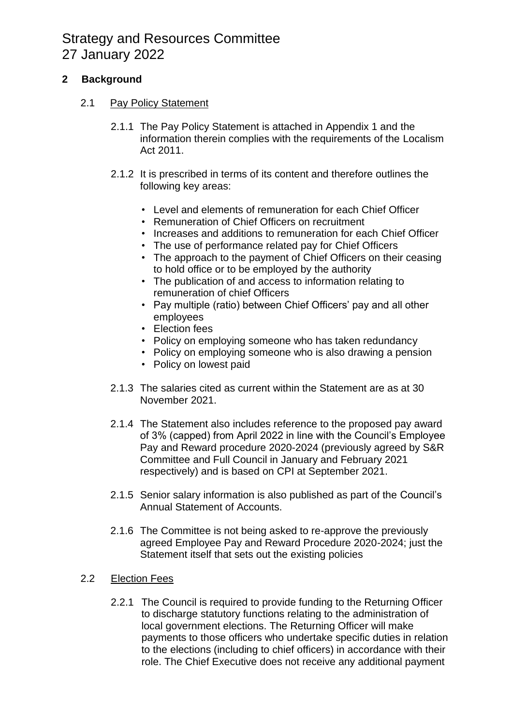# Strategy and Resources Committee 27 January 2022

## **2 Background**

## 2.1 Pay Policy Statement

- 2.1.1 The Pay Policy Statement is attached in Appendix 1 and the information therein complies with the requirements of the Localism Act 2011.
- 2.1.2 It is prescribed in terms of its content and therefore outlines the following key areas:
	- Level and elements of remuneration for each Chief Officer
	- Remuneration of Chief Officers on recruitment
	- Increases and additions to remuneration for each Chief Officer
	- The use of performance related pay for Chief Officers
	- The approach to the payment of Chief Officers on their ceasing to hold office or to be employed by the authority
	- The publication of and access to information relating to remuneration of chief Officers
	- Pay multiple (ratio) between Chief Officers' pay and all other employees
	- Election fees
	- Policy on employing someone who has taken redundancy
	- Policy on employing someone who is also drawing a pension
	- Policy on lowest paid
- 2.1.3 The salaries cited as current within the Statement are as at 30 November 2021.
- 2.1.4 The Statement also includes reference to the proposed pay award of 3% (capped) from April 2022 in line with the Council's Employee Pay and Reward procedure 2020-2024 (previously agreed by S&R Committee and Full Council in January and February 2021 respectively) and is based on CPI at September 2021.
- 2.1.5 Senior salary information is also published as part of the Council's Annual Statement of Accounts.
- 2.1.6 The Committee is not being asked to re-approve the previously agreed Employee Pay and Reward Procedure 2020-2024; just the Statement itself that sets out the existing policies
- 2.2 Election Fees
	- 2.2.1 The Council is required to provide funding to the Returning Officer to discharge statutory functions relating to the administration of local government elections. The Returning Officer will make payments to those officers who undertake specific duties in relation to the elections (including to chief officers) in accordance with their role. The Chief Executive does not receive any additional payment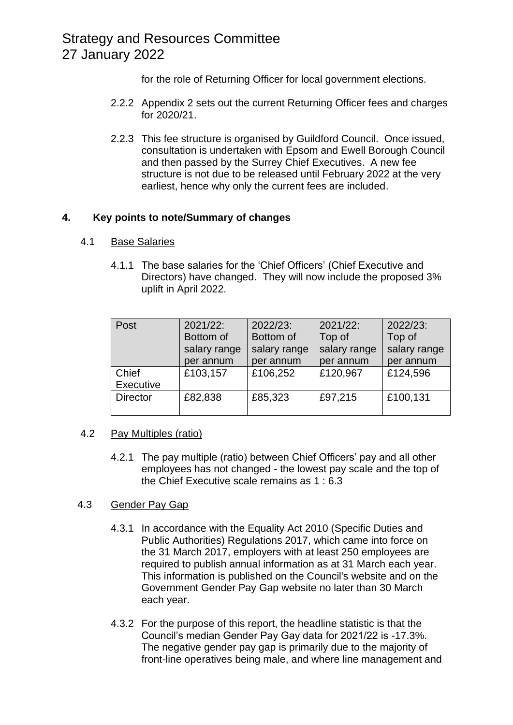## Strategy and Resources Committee 27 January 2022

for the role of Returning Officer for local government elections.

- 2.2.2 Appendix 2 sets out the current Returning Officer fees and charges for 2020/21.
- 2.2.3 This fee structure is organised by Guildford Council. Once issued, consultation is undertaken with Epsom and Ewell Borough Council and then passed by the Surrey Chief Executives. A new fee structure is not due to be released until February 2022 at the very earliest, hence why only the current fees are included.

## **4. Key points to note/Summary of changes**

## 4.1 Base Salaries

4.1.1 The base salaries for the 'Chief Officers' (Chief Executive and Directors) have changed. They will now include the proposed 3% uplift in April 2022.

| Post            | $2021/22$ :  | 2022/23:     | 2021/22:     | 2022/23:     |
|-----------------|--------------|--------------|--------------|--------------|
|                 | Bottom of    | Bottom of    | Top of       | Top of       |
|                 | salary range | salary range | salary range | salary range |
|                 | per annum    | per annum    | per annum    | per annum    |
| Chief           | £103,157     | £106,252     | £120,967     | £124,596     |
| Executive       |              |              |              |              |
| <b>Director</b> | £82,838      | £85,323      | £97,215      | £100,131     |
|                 |              |              |              |              |

#### 4.2 Pay Multiples (ratio)

4.2.1 The pay multiple (ratio) between Chief Officers' pay and all other employees has not changed - the lowest pay scale and the top of the Chief Executive scale remains as 1 : 6.3

## 4.3 Gender Pay Gap

- 4.3.1 In accordance with the Equality Act 2010 (Specific Duties and Public Authorities) Regulations 2017, which came into force on the 31 March 2017, employers with at least 250 employees are required to publish annual information as at 31 March each year. This information is published on the Council's website and on the Government Gender Pay Gap website no later than 30 March each year.
- 4.3.2 For the purpose of this report, the headline statistic is that the Council's median Gender Pay Gay data for 2021/22 is -17.3%. The negative gender pay gap is primarily due to the majority of front-line operatives being male, and where line management and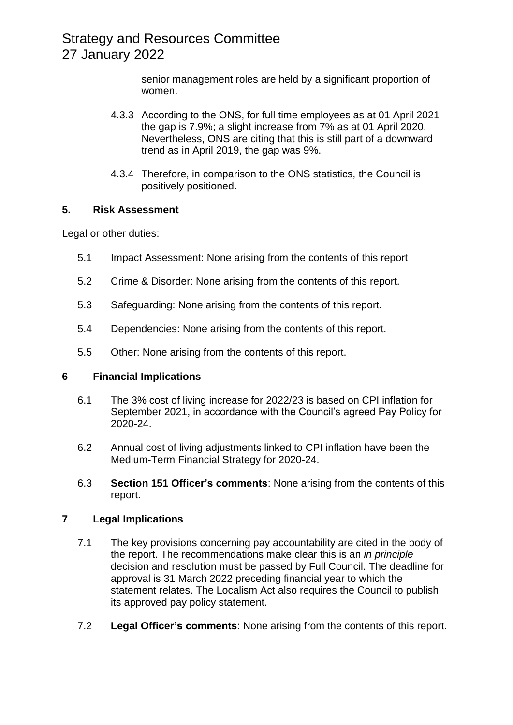senior management roles are held by a significant proportion of women.

- 4.3.3 According to the ONS, for full time employees as at 01 April 2021 the gap is 7.9%; a slight increase from 7% as at 01 April 2020. Nevertheless, ONS are citing that this is still part of a downward trend as in April 2019, the gap was 9%.
- 4.3.4 Therefore, in comparison to the ONS statistics, the Council is positively positioned.

## **5. Risk Assessment**

Legal or other duties:

- 5.1 Impact Assessment: None arising from the contents of this report
- 5.2 Crime & Disorder: None arising from the contents of this report.
- 5.3 Safeguarding: None arising from the contents of this report.
- 5.4 Dependencies: None arising from the contents of this report.
- 5.5 Other: None arising from the contents of this report.

#### **6 Financial Implications**

- 6.1 The 3% cost of living increase for 2022/23 is based on CPI inflation for September 2021, in accordance with the Council's agreed Pay Policy for 2020-24.
- 6.2 Annual cost of living adjustments linked to CPI inflation have been the Medium-Term Financial Strategy for 2020-24.
- 6.3 **Section 151 Officer's comments**: None arising from the contents of this report.

## **7 Legal Implications**

- 7.1 The key provisions concerning pay accountability are cited in the body of the report. The recommendations make clear this is an *in principle*  decision and resolution must be passed by Full Council. The deadline for approval is 31 March 2022 preceding financial year to which the statement relates. The Localism Act also requires the Council to publish its approved pay policy statement.
- 7.2 **Legal Officer's comments**: None arising from the contents of this report.